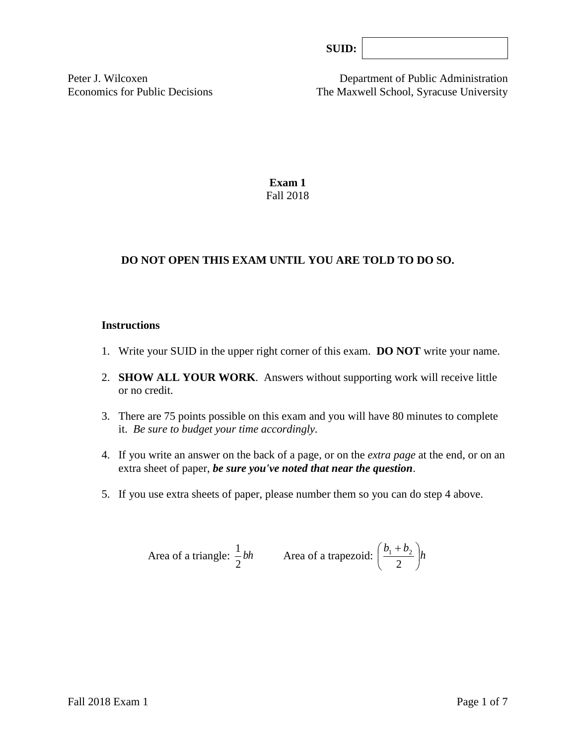| l |  |
|---|--|
|   |  |
|   |  |
|   |  |

Peter J. Wilcoxen Department of Public Administration Economics for Public Decisions The Maxwell School, Syracuse University

> **Exam 1** Fall 2018

# **DO NOT OPEN THIS EXAM UNTIL YOU ARE TOLD TO DO SO.**

#### **Instructions**

- 1. Write your SUID in the upper right corner of this exam. **DO NOT** write your name.
- 2. **SHOW ALL YOUR WORK**. Answers without supporting work will receive little or no credit.
- 3. There are 75 points possible on this exam and you will have 80 minutes to complete it. *Be sure to budget your time accordingly.*
- 4. If you write an answer on the back of a page, or on the *extra page* at the end, or on an extra sheet of paper, *be sure you've noted that near the question*.
- 5. If you use extra sheets of paper, please number them so you can do step 4 above.

Area of a triangle: 
$$
\frac{1}{2}bh
$$
 Area of a trapezoid:  $\left(\frac{b_1 + b_2}{2}\right)h$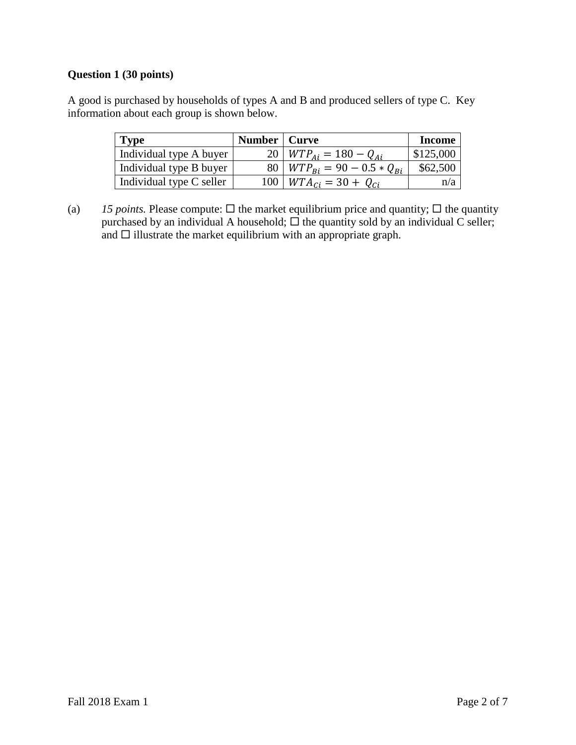# **Question 1 (30 points)**

A good is purchased by households of types A and B and produced sellers of type C. Key information about each group is shown below.

| <b>Type</b>              | Number   Curve |                                     | <b>Income</b> |
|--------------------------|----------------|-------------------------------------|---------------|
| Individual type A buyer  |                | 20   $WTP_{Ai} = 180 - Q_{Ai}$      | \$125,000     |
| Individual type B buyer  |                | 80   $WTP_{Bi} = 90 - 0.5 * Q_{Bi}$ | \$62,500      |
| Individual type C seller |                | $100 \mid WTA_{ci} = 30 + Q_{ci}$   | n/a           |

(a) *15 points.* Please compute:  $\Box$  the market equilibrium price and quantity;  $\Box$  the quantity purchased by an individual A household;  $\Box$  the quantity sold by an individual C seller; and  $\square$  illustrate the market equilibrium with an appropriate graph.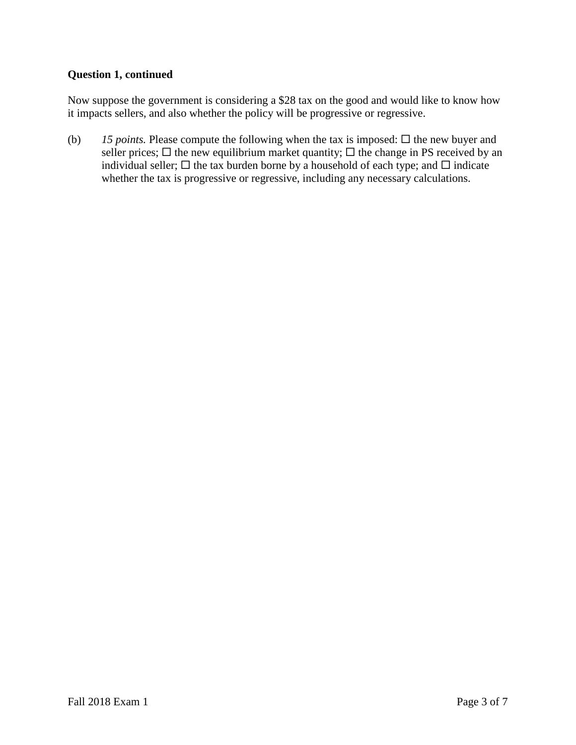# **Question 1, continued**

Now suppose the government is considering a \$28 tax on the good and would like to know how it impacts sellers, and also whether the policy will be progressive or regressive.

(b) 15 *points*. Please compute the following when the tax is imposed:  $\Box$  the new buyer and seller prices;  $\Box$  the new equilibrium market quantity;  $\Box$  the change in PS received by an individual seller;  $\Box$  the tax burden borne by a household of each type; and  $\Box$  indicate whether the tax is progressive or regressive, including any necessary calculations.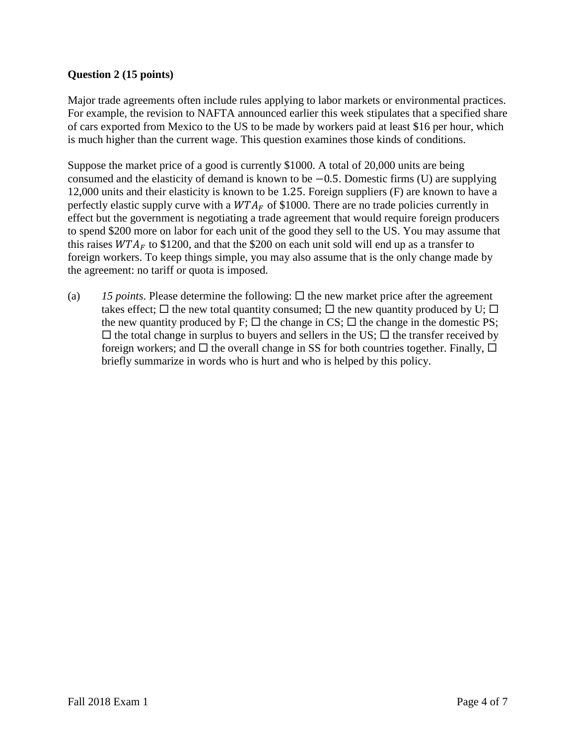# **Question 2 (15 points)**

Major trade agreements often include rules applying to labor markets or environmental practices. For example, the revision to NAFTA announced earlier this week stipulates that a specified share of cars exported from Mexico to the US to be made by workers paid at least \$16 per hour, which is much higher than the current wage. This question examines those kinds of conditions.

Suppose the market price of a good is currently \$1000. A total of 20,000 units are being consumed and the elasticity of demand is known to be −0.5. Domestic firms (U) are supplying 12,000 units and their elasticity is known to be 1.25. Foreign suppliers (F) are known to have a perfectly elastic supply curve with a  $WTA_F$  of \$1000. There are no trade policies currently in effect but the government is negotiating a trade agreement that would require foreign producers to spend \$200 more on labor for each unit of the good they sell to the US. You may assume that this raises  $WTA<sub>F</sub>$  to \$1200, and that the \$200 on each unit sold will end up as a transfer to foreign workers. To keep things simple, you may also assume that is the only change made by the agreement: no tariff or quota is imposed.

(a)  $15$  *points*. Please determine the following:  $\Box$  the new market price after the agreement takes effect;  $\Box$  the new total quantity consumed;  $\Box$  the new quantity produced by U;  $\Box$ the new quantity produced by F;  $\Box$  the change in CS;  $\Box$  the change in the domestic PS;  $\Box$  the total change in surplus to buyers and sellers in the US;  $\Box$  the transfer received by foreign workers; and  $\Box$  the overall change in SS for both countries together. Finally,  $\Box$ briefly summarize in words who is hurt and who is helped by this policy.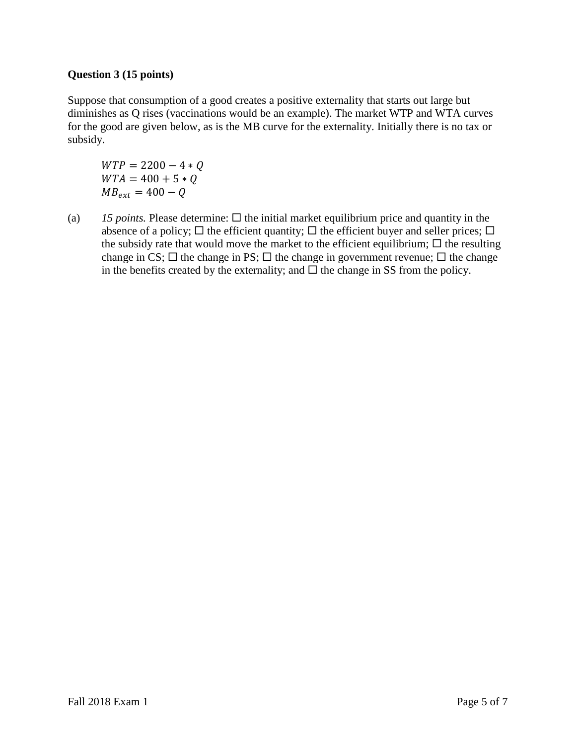# **Question 3 (15 points)**

Suppose that consumption of a good creates a positive externality that starts out large but diminishes as Q rises (vaccinations would be an example). The market WTP and WTA curves for the good are given below, as is the MB curve for the externality. Initially there is no tax or subsidy.

 $WTP = 2200 - 4 * Q$  $WTA = 400 + 5 * Q$  $MB_{ext} = 400 - Q$ 

(a)  $15$  *points.* Please determine:  $\Box$  the initial market equilibrium price and quantity in the absence of a policy;  $\Box$  the efficient quantity;  $\Box$  the efficient buyer and seller prices;  $\Box$ the subsidy rate that would move the market to the efficient equilibrium;  $\Box$  the resulting change in CS;  $\Box$  the change in PS;  $\Box$  the change in government revenue;  $\Box$  the change in the benefits created by the externality; and  $\Box$  the change in SS from the policy.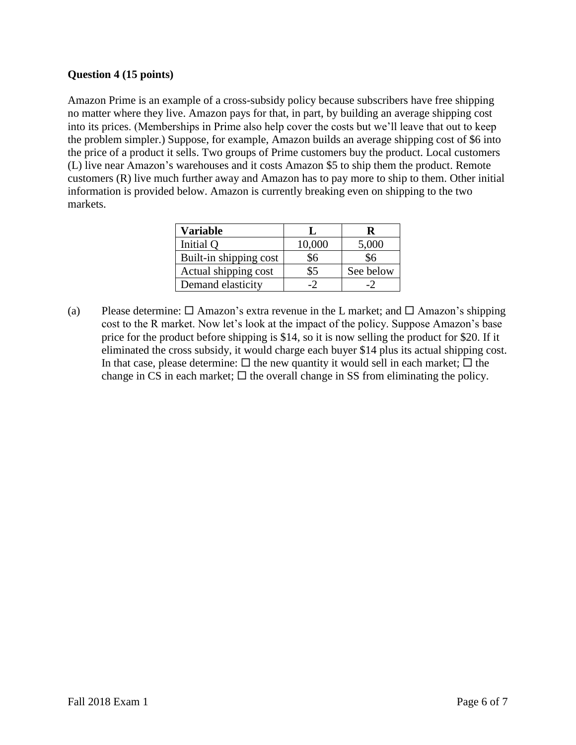# **Question 4 (15 points)**

Amazon Prime is an example of a cross-subsidy policy because subscribers have free shipping no matter where they live. Amazon pays for that, in part, by building an average shipping cost into its prices. (Memberships in Prime also help cover the costs but we'll leave that out to keep the problem simpler.) Suppose, for example, Amazon builds an average shipping cost of \$6 into the price of a product it sells. Two groups of Prime customers buy the product. Local customers (L) live near Amazon's warehouses and it costs Amazon \$5 to ship them the product. Remote customers (R) live much further away and Amazon has to pay more to ship to them. Other initial information is provided below. Amazon is currently breaking even on shipping to the two markets.

| Variable               |        | ĸ         |
|------------------------|--------|-----------|
| Initial Q              | 10,000 | 5,000     |
| Built-in shipping cost | \$6    | \$6       |
| Actual shipping cost   | \$5    | See below |
| Demand elasticity      |        |           |

(a) Please determine:  $\Box$  Amazon's extra revenue in the L market; and  $\Box$  Amazon's shipping cost to the R market. Now let's look at the impact of the policy. Suppose Amazon's base price for the product before shipping is \$14, so it is now selling the product for \$20. If it eliminated the cross subsidy, it would charge each buyer \$14 plus its actual shipping cost. In that case, please determine:  $\Box$  the new quantity it would sell in each market;  $\Box$  the change in CS in each market;  $\Box$  the overall change in SS from eliminating the policy.